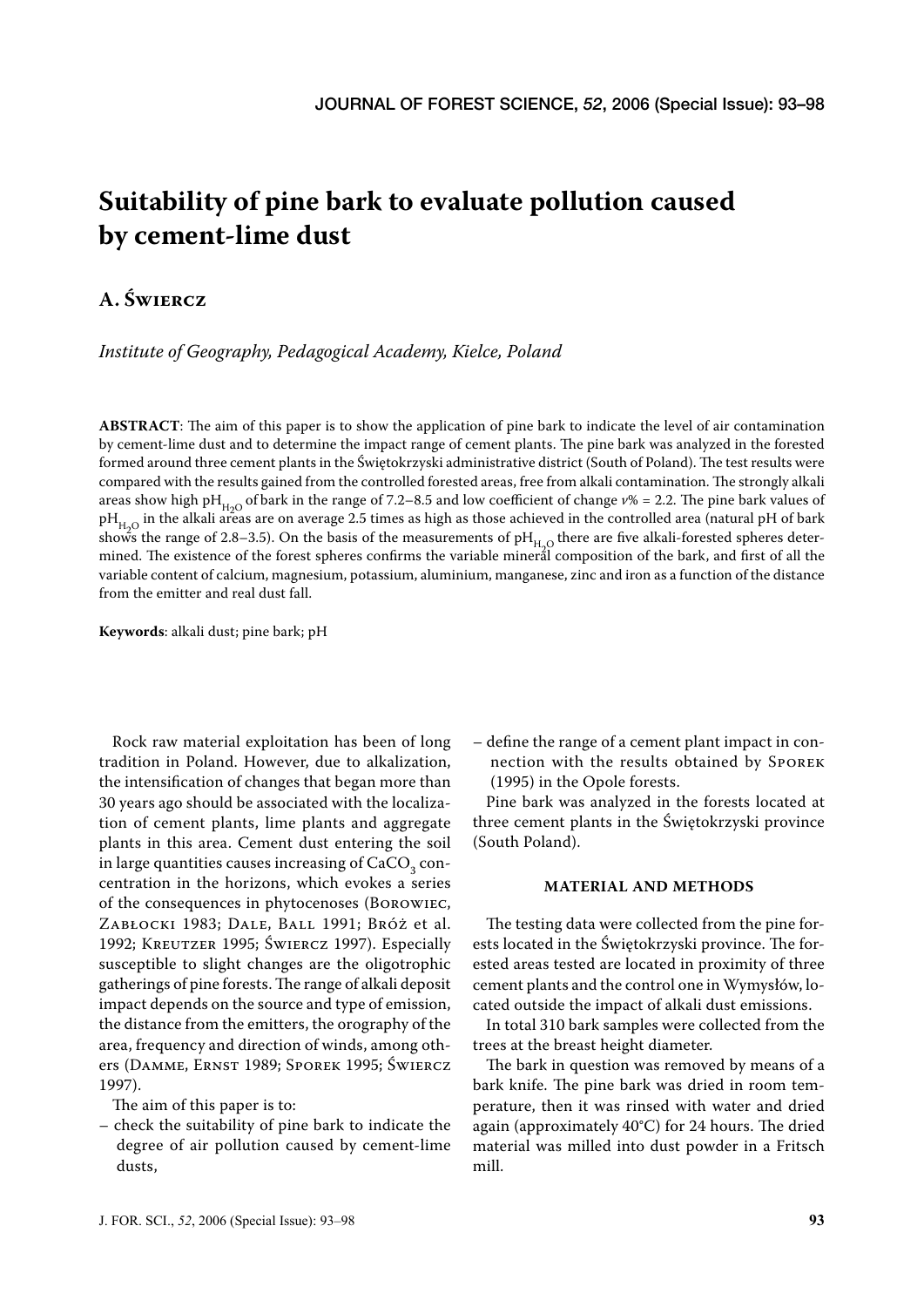# **Suitability of pine bark to evaluate pollution caused by cement-lime dust**

# **A. ŚWIERCZ**

*Institute of Geography, Pedagogical Academy, Kielce, Poland*

**ABSTRACT**: The aim of this paper is to show the application of pine bark to indicate the level of air contamination by cement-lime dust and to determine the impact range of cement plants. The pine bark was analyzed in the forested formed around three cement plants in the Świętokrzyski administrative district (South of Poland). The test results were compared with the results gained from the controlled forested areas, free from alkali contamination. The strongly alkali areas show high pH<sub>H<sub>2</sub>O</sub> of bark in the range of 7.2–8.5 and low coefficient of change  $v\% = 2.2$ . The pine bark values of  $pH_{H,O}$  in the alkali areas are on average 2.5 times as high as those achieved in the controlled area (natural pH of bark shows the range of 2.8–3.5). On the basis of the measurements of  $pH_{H_2O}$  there are five alkali-forested spheres determined. The existence of the forest spheres confirms the variable mineral composition of the bark, and first of all the variable content of calcium, magnesium, potassium, aluminium, manganese, zinc and iron as a function of the distance from the emitter and real dust fall.

**Keywords**: alkali dust; pine bark; pH

Rock raw material exploitation has been of long tradition in Poland. However, due to alkalization, the intensification of changes that began more than 30 years ago should be associated with the localization of cement plants, lime plants and aggregate plants in this area. Cement dust entering the soil in large quantities causes increasing of  $\mathrm{CaCO}_{_3}$  concentration in the horizons, which evokes a series of the consequences in phytocenoses (BOROWIEC, ZABŁOCKI 1983; DALE, BALL 1991; BRÓŻ et al. 1992; KREUTZER 1995; ŚWIERCZ 1997). Especially susceptible to slight changes are the oligotrophic gatherings of pine forests. The range of alkali deposit impact depends on the source and type of emission, the distance from the emitters, the orography of the area, frequency and direction of winds, among others (DAMME, ERNST 1989; SPOREK 1995; ŚWIERCZ 1997).

The aim of this paper is to:

– check the suitability of pine bark to indicate the degree of air pollution caused by cement-lime dusts,

– define the range of a cement plant impact in connection with the results obtained by SPOREK (1995) in the Opole forests.

Pine bark was analyzed in the forests located at three cement plants in the Świętokrzyski province (South Poland).

#### **MATERIAL AND METHODS**

The testing data were collected from the pine forests located in the Świętokrzyski province. The forested areas tested are located in proximity of three cement plants and the control one in Wymysłów, located outside the impact of alkali dust emissions.

In total 310 bark samples were collected from the trees at the breast height diameter.

The bark in question was removed by means of a bark knife. The pine bark was dried in room temperature, then it was rinsed with water and dried again (approximately 40°C) for 24 hours. The dried material was milled into dust powder in a Fritsch mill.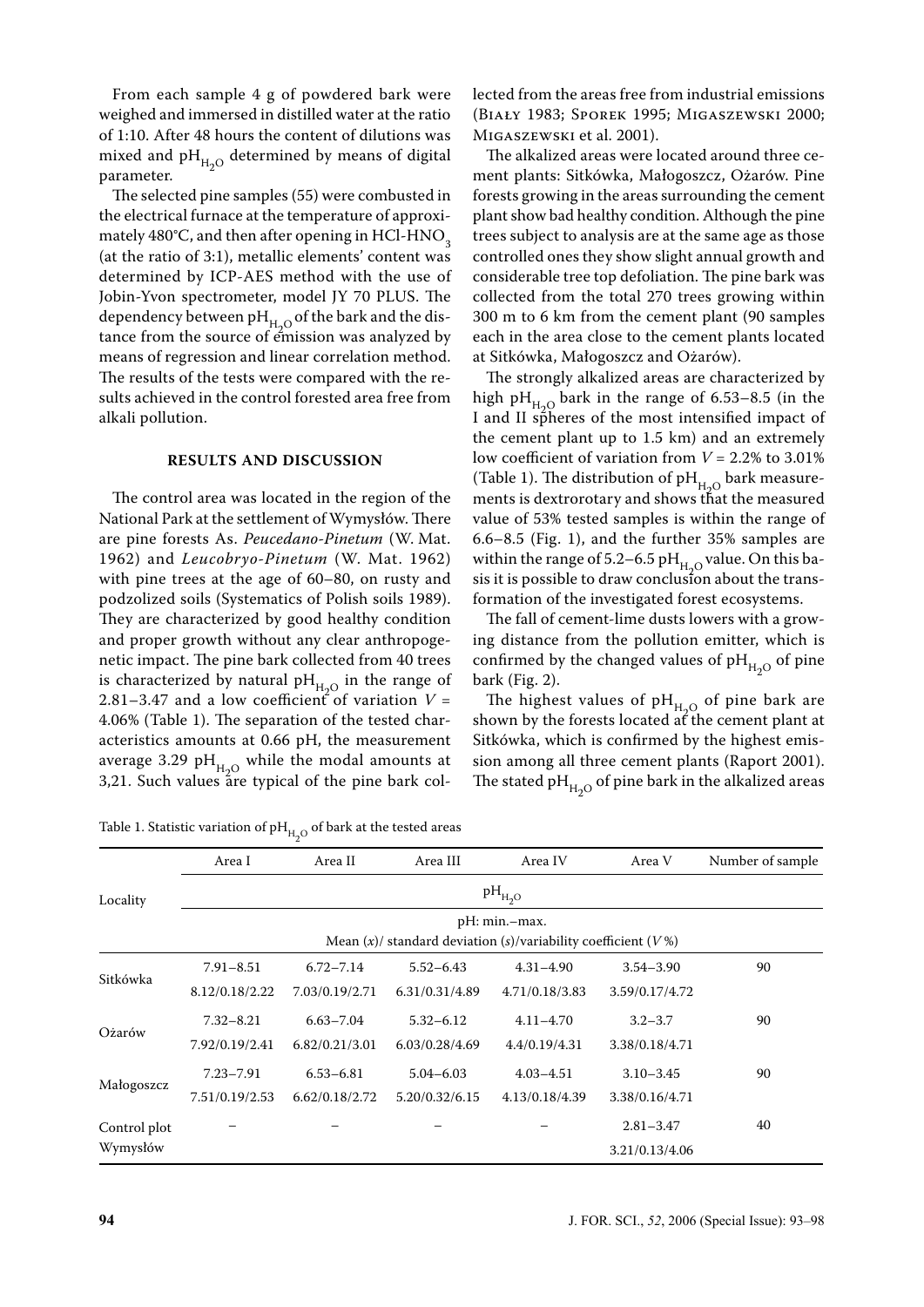From each sample 4 g of powdered bark were weighed and immersed in distilled water at the ratio of 1:10. After 48 hours the content of dilutions was mixed and  $pH_{H,O}$  determined by means of digital parameter.

The selected pine samples (55) were combusted in the electrical furnace at the temperature of approximately  $480^{\circ}$ C, and then after opening in HCl-HNO<sub>2</sub> (at the ratio of 3:1), metallic elements' content was determined by ICP-AES method with the use of Jobin-Yvon spectrometer, model JY 70 PLUS. The dependency between p $H_{H_2O}$  of the bark and the distance from the source of emission was analyzed by means of regression and linear correlation method. The results of the tests were compared with the results achieved in the control forested area free from alkali pollution.

#### **RESULTS AND DISCUSSION**

The control area was located in the region of the National Park at the settlement of Wymysłów. There are pine forests As. *Peucedano-Pinetum* (W. Mat. 1962) and *Leucobryo-Pinetum* (W. Mat. 1962) with pine trees at the age of 60–80, on rusty and podzolized soils (Systematics of Polish soils 1989). They are characterized by good healthy condition and proper growth without any clear anthropogenetic impact. The pine bark collected from 40 trees is characterized by natural  $pH_{H_2O}$  in the range of 2.81–3.47 and a low coefficient of variation  $V =$ 4.06% (Table 1). The separation of the tested characteristics amounts at 0.66 pH, the measurement average 3.29 pH $_{H_2O}$  while the modal amounts at 3,21. Such values are typical of the pine bark col-

Table 1. Statistic variation of  $pH_{H,Q}$  of bark at the tested areas

lected from the areas free from industrial emissions (BIAŁY 1983; SPOREK 1995; MIGASZEWSKI 2000; MIGASZEWSKI et al. 2001).

The alkalized areas were located around three cement plants: Sitkówka, Małogoszcz, Ożarów. Pine forests growing in the areas surrounding the cement plant show bad healthy condition. Although the pine trees subject to analysis are at the same age as those controlled ones they show slight annual growth and considerable tree top defoliation. The pine bark was collected from the total 270 trees growing within 300 m to 6 km from the cement plant (90 samples each in the area close to the cement plants located at Sitkówka, Małogoszcz and Ożarów).

The strongly alkalized areas are characterized by high pH<sub>H<sub>0</sub>O</sub> bark in the range of 6.53–8.5 (in the I and II spheres of the most intensified impact of the cement plant up to 1.5 km) and an extremely low coefficient of variation from *V* = 2.2% to 3.01% (Table 1). The distribution of  $pH_{H_2O}$  bark measurements is dextrorotary and shows that the measured value of 53% tested samples is within the range of 6.6–8.5 (Fig. 1), and the further 35% samples are within the range of 5.2–6.5 pH $_{H_2O}$  value. On this basis it is possible to draw conclusion about the transformation of the investigated forest ecosystems.

The fall of cement-lime dusts lowers with a growing distance from the pollution emitter, which is confirmed by the changed values of  $pH_{H_2O}$  of pine bark (Fig. 2).

The highest values of  $pH_{H_2O}$  of pine bark are shown by the forests located at the cement plant at Sitkówka, which is confirmed by the highest emission among all three cement plants (Raport 2001). The stated pH $_{H_2O}$  of pine bark in the alkalized areas

|              | Area I         | Area II        | Area III       | Area IV                                                                                 | Area V         | Number of sample |
|--------------|----------------|----------------|----------------|-----------------------------------------------------------------------------------------|----------------|------------------|
| Locality     |                |                |                | $pH_{H_2O}$                                                                             |                |                  |
|              |                |                |                | pH: min.-max.<br>Mean $(x)$ / standard deviation $(s)$ /variability coefficient $(V\%)$ |                |                  |
|              | $7.91 - 8.51$  | $6.72 - 7.14$  | $5.52 - 6.43$  | $4.31 - 4.90$                                                                           | $3.54 - 3.90$  | 90               |
| Sitkówka     | 8.12/0.18/2.22 | 7.03/0.19/2.71 | 6.31/0.31/4.89 | 4.71/0.18/3.83                                                                          | 3.59/0.17/4.72 |                  |
|              | $7.32 - 8.21$  | $6.63 - 7.04$  | $5.32 - 6.12$  | $4.11 - 4.70$                                                                           | $3.2 - 3.7$    | 90               |
| Ożarów       | 7.92/0.19/2.41 | 6.82/0.21/3.01 | 6.03/0.28/4.69 | 4.4/0.19/4.31                                                                           | 3.38/0.18/4.71 |                  |
|              | $7.23 - 7.91$  | $6.53 - 6.81$  | $5.04 - 6.03$  | $4.03 - 4.51$                                                                           | $3.10 - 3.45$  | 90               |
| Małogoszcz   | 7.51/0.19/2.53 | 6.62/0.18/2.72 | 5.20/0.32/6.15 | 4.13/0.18/4.39                                                                          | 3.38/0.16/4.71 |                  |
| Control plot |                |                |                |                                                                                         | $2.81 - 3.47$  | 40               |
| Wymysłów     |                |                |                |                                                                                         | 3.21/0.13/4.06 |                  |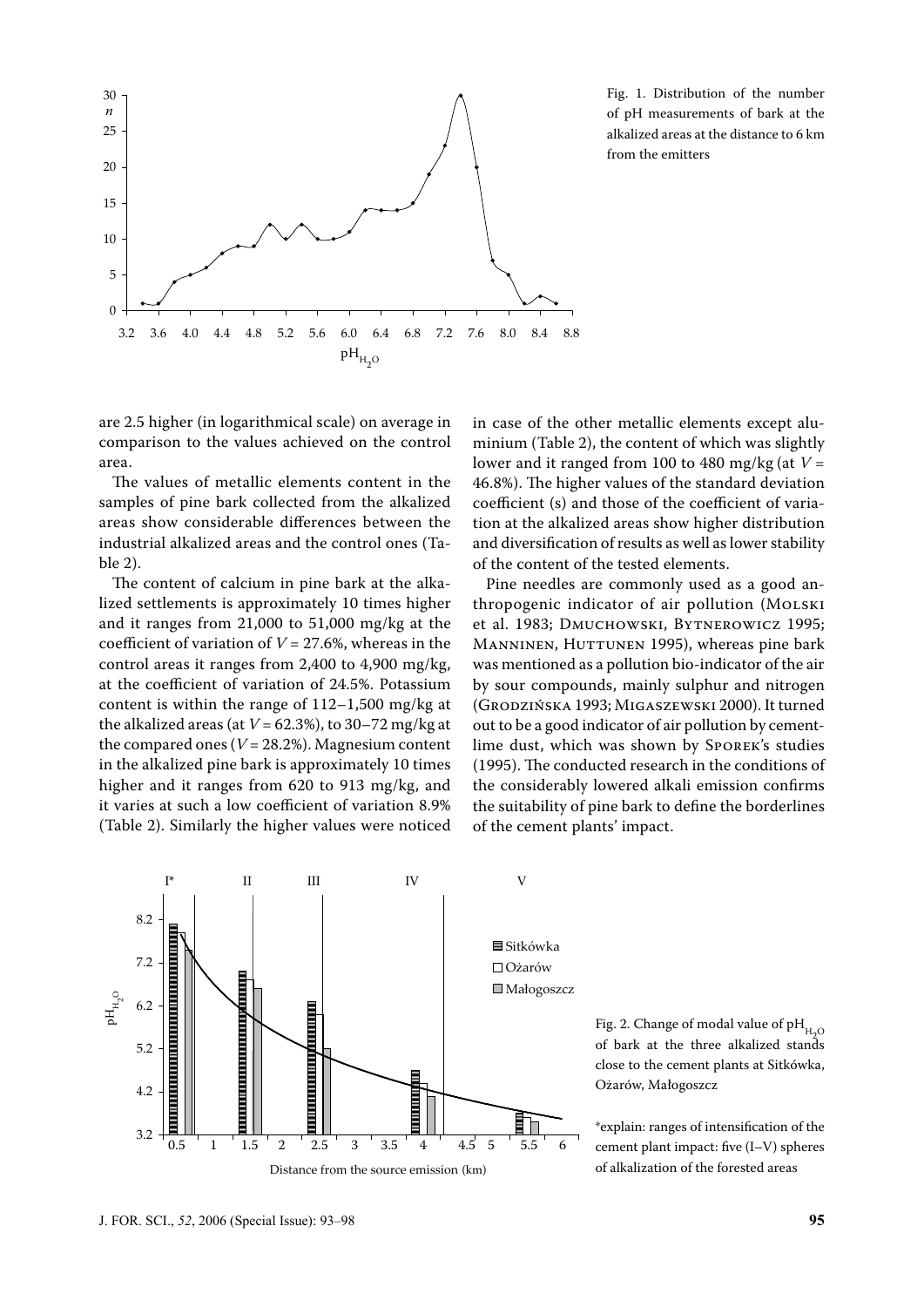

Fig. 1. Distribution of the number of pH measurements of bark at the alkalized areas at the distance to 6 km from the emitters

are 2.5 higher (in logarithmical scale) on average in comparison to the values achieved on the control area.

The values of metallic elements content in the samples of pine bark collected from the alkalized areas show considerable differences between the industrial alkalized areas and the control ones (Table 2).

The content of calcium in pine bark at the alkalized settlements is approximately 10 times higher and it ranges from 21,000 to 51,000 mg/kg at the coefficient of variation of *V* = 27.6%, whereas in the control areas it ranges from 2,400 to 4,900 mg/kg, at the coefficient of variation of 24.5%. Potassium content is within the range of 112–1,500 mg/kg at the alkalized areas (at  $V = 62.3\%$ ), to 30–72 mg/kg at the compared ones  $(V = 28.2\%)$ . Magnesium content in the alkalized pine bark is approximately 10 times higher and it ranges from 620 to 913 mg/kg, and it varies at such a low coefficient of variation 8.9% (Table 2). Similarly the higher values were noticed in case of the other metallic elements except aluminium (Table 2), the content of which was slightly lower and it ranged from 100 to 480 mg/kg (at *V* = 46.8%). The higher values of the standard deviation coefficient (s) and those of the coefficient of variation at the alkalized areas show higher distribution and diversification of results as well as lower stability of the content of the tested elements.

Pine needles are commonly used as a good anthropogenic indicator of air pollution (MOLSKI et al. 1983; DMUCHOWSKI, BYTNEROWICZ 1995; MANNINEN, HUTTUNEN 1995), whereas pine bark was mentioned as a pollution bio-indicator of the air by sour compounds, mainly sulphur and nitrogen (GRODZIŃSKA 1993; MIGASZEWSKI 2000). It turned out to be a good indicator of air pollution by cementlime dust, which was shown by SPOREK's studies (1995). The conducted research in the conditions of the considerably lowered alkali emission confirms the suitability of pine bark to define the borderlines of the cement plants' impact.



Fig. 2. Change of modal value of  $pH_{H_2O}$ of bark at the three alkalized stands close to the cement plants at Sitkówka, Ożarów, Małogoszcz

\*explain: ranges of intensification of the cement plant impact: five (I–V) spheres of alkalization of the forested areas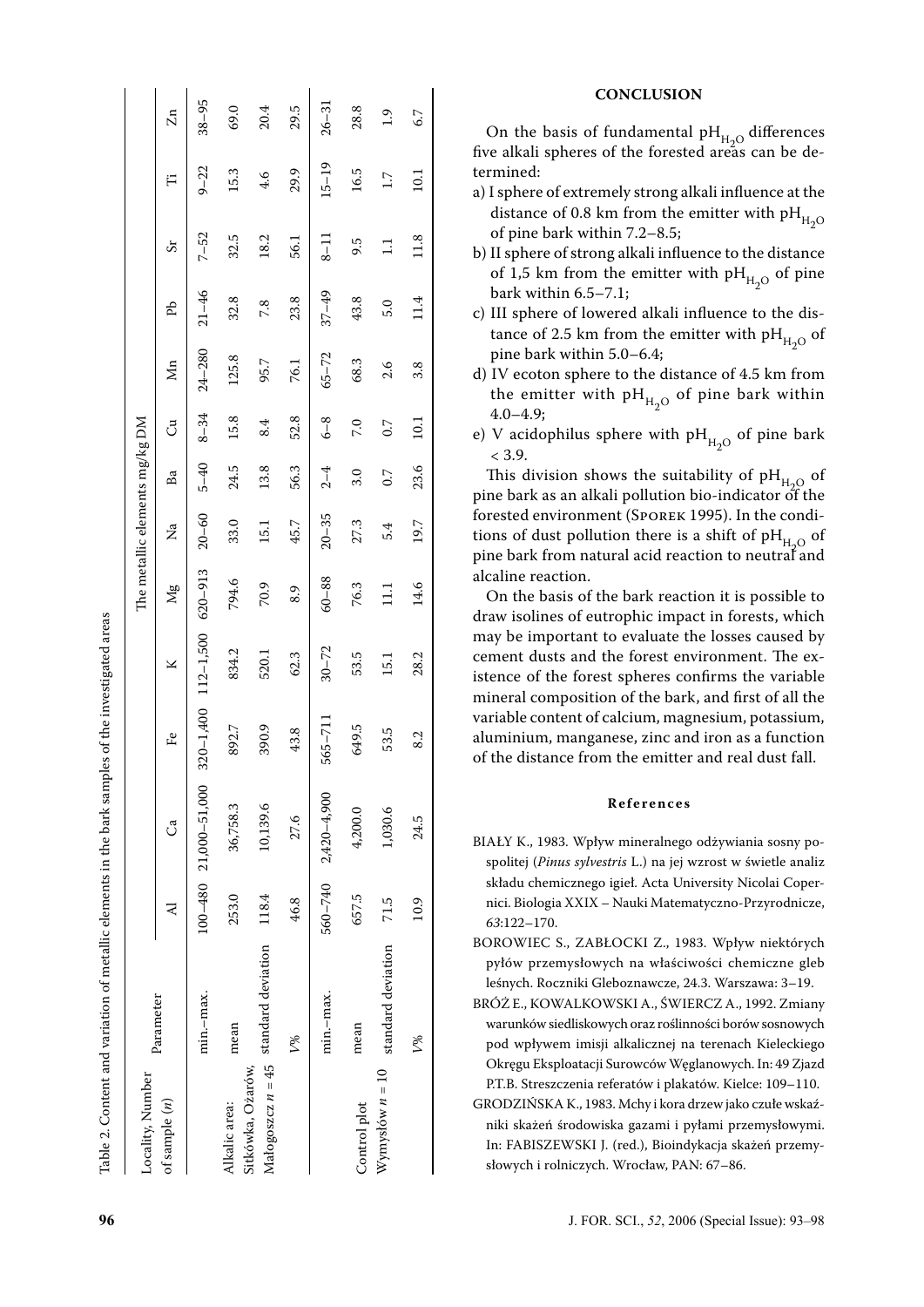| ֖֖֖֖֖֚֚֚֚֚֚֚֚֚֡֬   |
|--------------------|
|                    |
|                    |
|                    |
|                    |
|                    |
|                    |
|                    |
|                    |
|                    |
|                    |
|                    |
|                    |
|                    |
|                    |
|                    |
|                    |
|                    |
|                    |
| $\frac{1}{2}$      |
|                    |
|                    |
| :<br>:<br>:        |
|                    |
|                    |
|                    |
|                    |
| こうこう こうこう          |
|                    |
|                    |
|                    |
|                    |
|                    |
| i<br>$\frac{1}{2}$ |
|                    |
|                    |
|                    |
|                    |
|                    |
|                    |
|                    |
|                    |
|                    |
|                    |
| I                  |
| ì                  |
| I                  |
|                    |
|                    |
| I                  |
|                    |

| Locality, Number  |                                        |       |                             |               |               |               | The metallic elements $\mathrm{mg/kg}$ DM |          |                   |                  |           |          |               |                |
|-------------------|----------------------------------------|-------|-----------------------------|---------------|---------------|---------------|-------------------------------------------|----------|-------------------|------------------|-----------|----------|---------------|----------------|
| of sample $(n)$   | Parameter                              | ⋜     | J                           | ≗             | ⊻             | $\frac{8}{2}$ | Za                                        | Ba       | ්                 | $\sum_{i=1}^{n}$ | БĄ        | 55       | Ë             | $\mathbb{Z}^n$ |
|                   | min.-max.                              |       | $100 - 480$ 21,000 - 51,000 | $320 - 1,400$ | $112 - 1,500$ | $620 - 913$   | $20 - 60$                                 | $5 - 40$ | $8 - 34$          | $24 - 280$       | $21 - 46$ | $7 - 52$ | $9 - 22$      | $38 - 95$      |
| Alkalic area:     | mean                                   | 253.0 | 36,758.3                    | 892.7         | 834.2         | 794.6         | 33.0                                      | 24.5     | 15.8              | 125.8            | 32.8      | 32.5     | 15.3          | 69.0           |
| Sitkówka, Ożarów, | Małogoszcz $n = 45$ standard deviation | 118.4 | 10,139.6                    | 390.9         | 520.1         | 70.9          | 15.1                                      | 13.8     | 8.4               | 95.7             | 7.8       | 18.2     | 4.6           | 20.4           |
|                   | L                                      | 46.8  | 27.6                        | 43.8          | 62.3          | 8.9           | 45.7                                      | 56.3     | 52.8              | 76.1             | 23.8      | 56.1     | 29.9          | 29.5           |
|                   | min.-max.                              |       | $560 - 740$ 2,420 $-4,900$  | 565-711       | $30 - 72$     | $60 - 88$     | $20 - 35$                                 | $2 - 4$  | $6 - 8$           | $65 - 72$        | $37 - 49$ | $8 - 11$ | $15 - 19$     | $26 - 31$      |
| Control plot      | mean                                   | 657.5 | 4,200.0                     | 649.5         | 53.5          | 76.3          | 27.3                                      | 3.0      | 7.0               | 68.3             | 43.8      | 9.5      | 16.5          | 28.8           |
| Wymysłów $n = 10$ | standard deviation                     | 71.5  | 1,030.6                     | 53.5          | 15.1          | $\Xi$         | 54                                        | 0.7      | $\overline{0}$ .7 | 2.6              | 5.0       | Ξ        | $\frac{1}{1}$ | $\ddot{0}$     |
|                   | L                                      | 10.9  | 24.5                        | 8.2           | 28.2          | 14.6          | 19.7                                      | 23.6     | 10.1              | 3.8              | 11.4      | 11.8     | $\Xi$         | 6.7            |

#### **CONCLUSION**

On the basis of fundamental  $\rm pH_{H_{2}O}$  differences five alkali spheres of the forested areas can be determined:

- a) I sphere of extremely strong alkali influence at the distance of 0.8 km from the emitter with  $\rm{pH}_{H_2O}$ <br>of nine bark within 7.2, 8.5. of pine bark within 7.2–8.5;
- b) II sphere of strong alkali influence to the distance of 1,5 km from the emitter with  $pH_{H_2O}$  of pine<br>bark within 6.5, 7.1. bark within 6.5–7.1;
- c) III sphere of lowered alkali influence to the dis tance of 2.5 km from the emitter with  $\rm{pH}_{H_2O}$  of nine bark within  $\rm{5.0}$  6.4. pine bark within 5.0–6.4;
- d) IV ecoton sphere to the distance of 4.5 km from the emitter with p $H_{H_2O}$  of pine bark within<br>4.0, 4.0; 4.0–4.9;
- e) V acidophilus sphere with  $pH_{H_2O}$  of pine bark  $< 3.9.$

This division shows the suitability of  $pH_{H_2O}$  of 2 pine bark as an alkali pollution bio-indicator of the forested environment (SPOREK 1995). In the condi tions of dust pollution there is a shift of  $pH_{H_2O}$  of 2 pine bark from natural acid reaction to neutral and alcaline reaction.

On the basis of the bark reaction it is possible to draw isolines of eutrophic impact in forests, which may be important to evaluate the losses caused by cement dusts and the forest environment. The ex istence of the forest spheres confirms the variable mineral composition of the bark, and first of all the variable content of calcium, magnesium, potassium, aluminium, manganese, zinc and iron as a function of the distance from the emitter and real dust fall.

#### **R e f e r e n c e s**

- BIAŁY K., 1983. Wpływ mineralnego odżywiania sosny po spolitej (*Pinus sylvestris* L.) na jej wzrost w świetle analiz składu chemicznego igieł. Acta University Nicolai Coper nici. Biologia XXIX – Nauki Matematyczno-Przyrodnicze, *63*:122 –170.
- BOROWIEC S., ZABŁOCKI Z., 1983. Wpływ niektórych pyłów przemysłowych na właściwości chemiczne gleb leśnych. Roczniki Gleboznawcze, 24.3. Warszawa: 3–19.
- BRÓŻ E., KOWALKOWSKI A., ŚWIERCZ A., 1992. Zmiany warunków siedliskowych oraz roślinno ści borów sosnowych pod wpływem imisji alkalicznej na terenach Kieleckiego Okręgu Eksploatacji Surowców Węglanowych. In: 49 Zjazd P.T.B. Streszczenia referatów i plakatów. Kielce: 109–110.
- GRODZINSKA K., 1983. Mchy i kora drzew jako czułe wskaźniki skażeń środowiska gazami i pyłami przemysłowymi. In: FABISZEWSKI J. (red.), Bioindykacja skażeń przemy słowych i rolniczych. Wrocław, PAN: 67–86.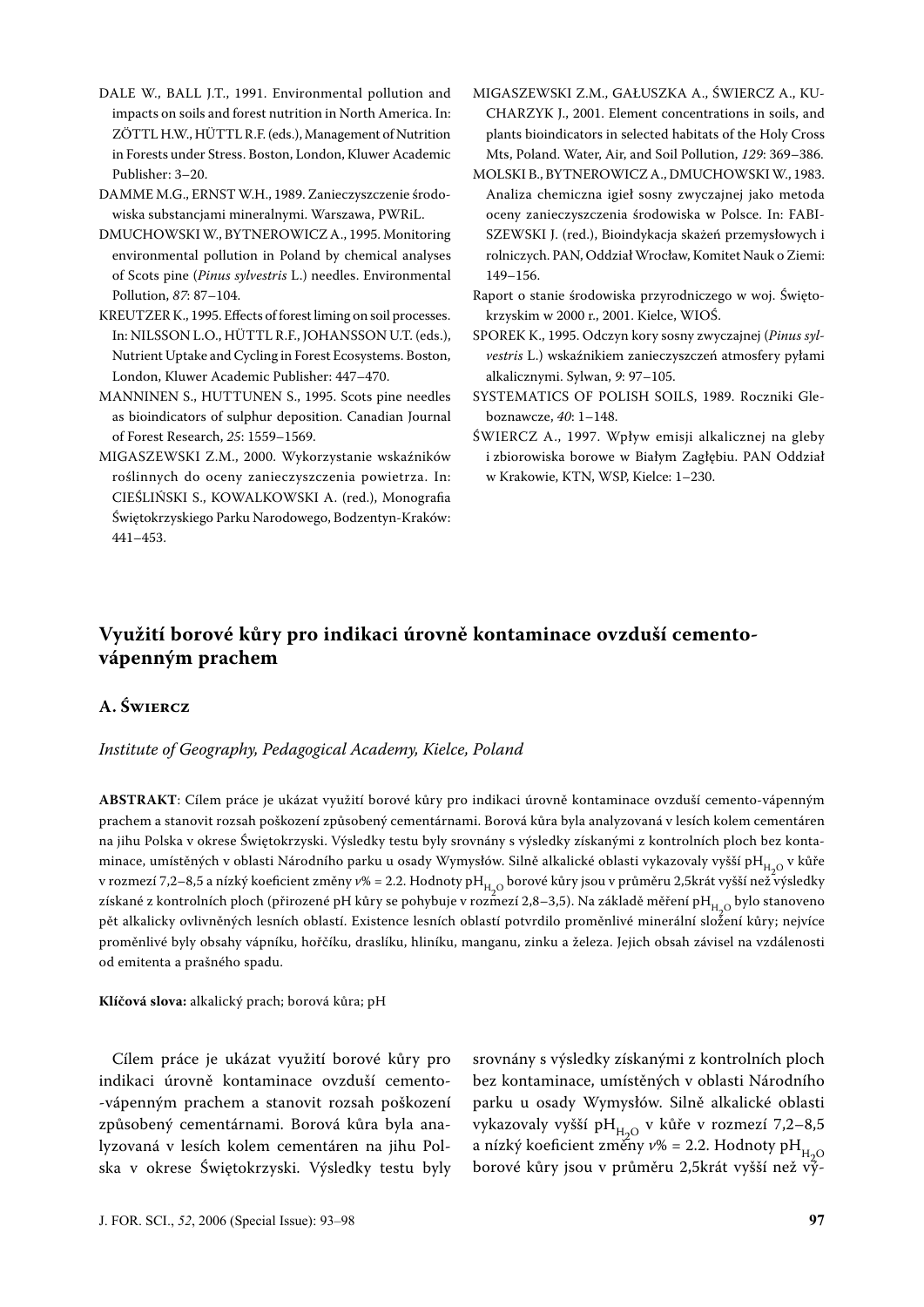- DALE W., BALL J.T., 1991. Environmental pollution and impacts on soils and forest nutrition in North America. In: ZÖTTL H.W., HÜTTL R.F. (eds.), Management of Nutrition in Forests under Stress. Boston, London, Kluwer Academic Publisher: 3–20.
- DAMME M.G., ERNST W.H., 1989. Zanieczyszczenie środowiska substancjami mineralnymi. Warszawa, PWRiL.
- DMUCHOWSKI W., BYTNEROWICZ A., 1995. Monitoring environmental pollution in Poland by chemical analyses of Scots pine (*Pinus sylvestris* L.) needles. Environmental Pollution, *87*: 87–104.
- KREUTZER K., 1995. Effects of forest liming on soil processes. In: NILSSON L.O., HÜTTL R.F., JOHANSSON U.T. (eds.), Nutrient Uptake and Cycling in Forest Ecosystems. Boston, London, Kluwer Academic Publisher: 447–470.
- MANNINEN S., HUTTUNEN S., 1995. Scots pine needles as bioindicators of sulphur deposition. Canadian Journal of Forest Research, *25*: 1559–1569.
- MIGASZEWSKI Z.M., 2000. Wykorzystanie wskaźników roślinnych do oceny zanieczyszczenia powietrza. In: CIEŚLIŃSKI S., KOWALKOWSKI A. (red.), Monografia Świętokrzyskiego Parku Narodowego, Bodzentyn-Kraków: 441–453.
- MIGASZEWSKI Z.M., GAŁUSZKA A., ŚWIERCZ A., KU-CHARZYK J., 2001. Element concentrations in soils, and plants bioindicators in selected habitats of the Holy Cross Mts, Poland. Water, Air, and Soil Pollution, *129*: 369–386.
- MOLSKI B., BYTNEROWICZ A., DMUCHOWSKI W., 1983. Analiza chemiczna igieł sosny zwyczajnej jako metoda oceny zanieczyszczenia środowiska w Polsce. In: FABI-SZEWSKI J. (red.), Bioindykacja skażeń przemysłowych i rolniczych. PAN, Oddział Wrocław, Komitet Nauk o Ziemi: 149–156.
- Raport o stanie środowiska przyrodniczego w woj. Świętokrzyskim w 2000 r., 2001. Kielce, WIOŚ.
- SPOREK K., 1995. Odczyn kory sosny zwyczajnej (*Pinus sylvestris* L.) wskaźnikiem zanieczyszczeń atmosfery pyłami alkalicznymi. Sylwan, *9*: 97–105.
- SYSTEMATICS OF POLISH SOILS, 1989. Roczniki Gleboznawcze, *40*: 1–148.
- ŚWIERCZ A., 1997. Wpływ emisji alkalicznej na gleby i zbiorowiska borowe w Białym Zagłębiu. PAN Oddział w Krakowie, KTN, WSP, Kielce: 1–230.

## **Využití borové kůry pro indikaci úrovně kontaminace ovzduší cementovápenným prachem**

### **A. ŚWIERCZ**

#### *Institute of Geography, Pedagogical Academy, Kielce, Poland*

**ABSTRAKT**: Cílem práce je ukázat využití borové kůry pro indikaci úrovně kontaminace ovzduší cemento-vápenným prachem a stanovit rozsah poškození způsobený cementárnami. Borová kůra byla analyzovaná v lesích kolem cementáren na jihu Polska v okrese Świętokrzyski. Výsledky testu byly srovnány s výsledky získanými z kontrolních ploch bez kontaminace, umístěných v oblasti Národního parku u osady Wymysłów. Silně alkalické oblasti vykazovaly vyšší pH<sub>H2O</sub> v kůře v rozmezí 7,2–8,5 a nízký koeficient změny v% = 2.2. Hodnoty pH<sub>H,O</sub> borové kůry jsou v průměru 2,5krát vyšší než výsledky získané z kontrolních ploch (přirozené pH kůry se pohybuje v rozmezí 2,8–3,5). Na základě měření pH<sub>H-O</sub> bylo stanoveno pět alkalicky ovlivněných lesních oblastí. Existence lesních oblastí potvrdilo proměnlivé minerální složení kůry; nejvíce proměnlivé byly obsahy vápníku, hořčíku, draslíku, hliníku, manganu, zinku a železa. Jejich obsah závisel na vzdálenosti od emitenta a prašného spadu.

**Klíčová slova:** alkalický prach; borová kůra; pH

Cílem práce je ukázat využití borové kůry pro indikaci úrovně kontaminace ovzduší cemento- -vápenným prachem a stanovit rozsah poškození způsobený cementárnami. Borová kůra byla analyzovaná v lesích kolem cementáren na jihu Polska v okrese Świętokrzyski. Výsledky testu byly srovnány s výsledky získanými z kontrolních ploch bez kontaminace, umístěných v oblasti Národního parku u osady Wymysłów. Silně alkalické oblasti vykazovaly vyšší pH<sub>H<sub>O</sub> v kůře v rozmezí 7,2–8,5</sub> a nízký koeficient změny  $v\% = 2.2$ . Hodnoty pH<sub>H-O</sub> borové kůry jsou v průměru 2,5krát vyšší než vý-